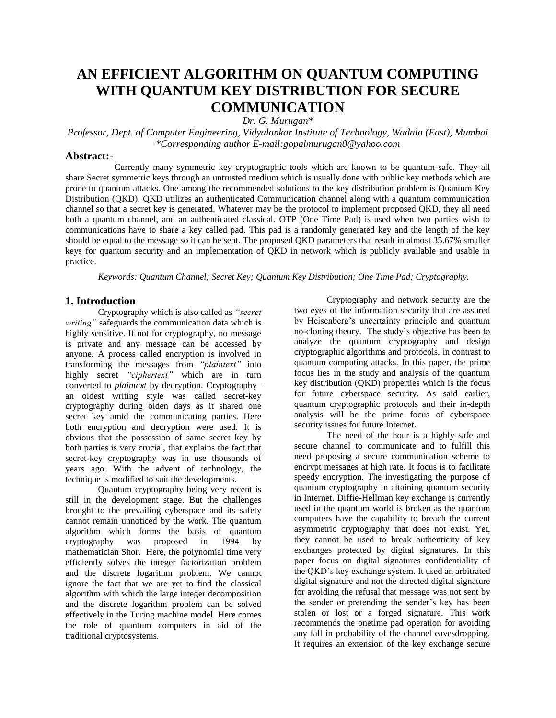# **AN EFFICIENT ALGORITHM ON QUANTUM COMPUTING WITH QUANTUM KEY DISTRIBUTION FOR SECURE COMMUNICATION**

G. Murugan*\** 

*Professor, Dept. of Computer Engineering, Vidyalankar Institute of Technology, Wadala (East), Mumbai \*Corresponding author E-mail:gopalmurugan0@yahoo.com* 

#### **Abstract:-**

Currently many symmetric key cryptographic tools which are known to be quantum-safe. They all share Secret symmetric keys through an untrusted medium which is usually done with public key methods which are prone to quantum attacks. One among the recommended solutions to the key distribution problem is Quantum Key Distribution (QKD). QKD utilizes an authenticated Communication channel along with a quantum communication channel so that a secret key is generated. Whatever may be the protocol to implement proposed QKD, they all need both a quantum channel, and an authenticated classical. OTP (One Time Pad) is used when two parties wish to communications have to share a key called pad. This pad is a randomly generated key and the length of the key should be equal to the message so it can be sent. The proposed QKD parameters that result in almost 35.67% smaller keys for quantum security and an implementation of QKD in network which is publicly available and usable in practice.

*Keywords: Quantum Channel; Secret Key; Quantum Key Distribution; One Time Pad; Cryptography.* 

#### **1. Introduction**

Cryptography which is also called as *"secret writing"* safeguards the communication data which is highly sensitive. If not for cryptography, no message is private and any message can be accessed by anyone. A process called encryption is involved in transforming the messages from *"plaintext"* into highly secret *"ciphertext"* which are in turn converted to *plaintext* by decryption. Cryptography– an oldest writing style was called secret-key cryptography during olden days as it shared one secret key amid the communicating parties. Here both encryption and decryption were used. It is obvious that the possession of same secret key by both parties is very crucial, that explains the fact that secret-key cryptography was in use thousands of years ago. With the advent of technology, the technique is modified to suit the developments.

Quantum cryptography being very recent is still in the development stage. But the challenges brought to the prevailing cyberspace and its safety cannot remain unnoticed by the work. The quantum algorithm which forms the basis of quantum cryptography was proposed in 1994 by mathematician Shor. Here, the polynomial time very efficiently solves the integer factorization problem and the discrete logarithm problem. We cannot ignore the fact that we are yet to find the classical algorithm with which the large integer decomposition and the discrete logarithm problem can be solved effectively in the Turing machine model. Here comes the role of quantum computers in aid of the traditional cryptosystems.

Cryptography and network security are the two eyes of the information security that are assured by Heisenberg"s uncertainty principle and quantum no-cloning theory. The study"s objective has been to analyze the quantum cryptography and design cryptographic algorithms and protocols, in contrast to quantum computing attacks. In this paper, the prime focus lies in the study and analysis of the quantum key distribution (QKD) properties which is the focus for future cyberspace security. As said earlier, quantum cryptographic protocols and their in-depth analysis will be the prime focus of cyberspace security issues for future Internet.

The need of the hour is a highly safe and secure channel to communicate and to fulfill this need proposing a secure communication scheme to encrypt messages at high rate. It focus is to facilitate speedy encryption. The investigating the purpose of quantum cryptography in attaining quantum security in Internet. Diffie-Hellman key exchange is currently used in the quantum world is broken as the quantum computers have the capability to breach the current asymmetric cryptography that does not exist. Yet, they cannot be used to break authenticity of key exchanges protected by digital signatures. In this paper focus on digital signatures confidentiality of the QKD"s key exchange system. It used an arbitrated digital signature and not the directed digital signature for avoiding the refusal that message was not sent by the sender or pretending the sender"s key has been stolen or lost or a forged signature. This work recommends the onetime pad operation for avoiding any fall in probability of the channel eavesdropping. It requires an extension of the key exchange secure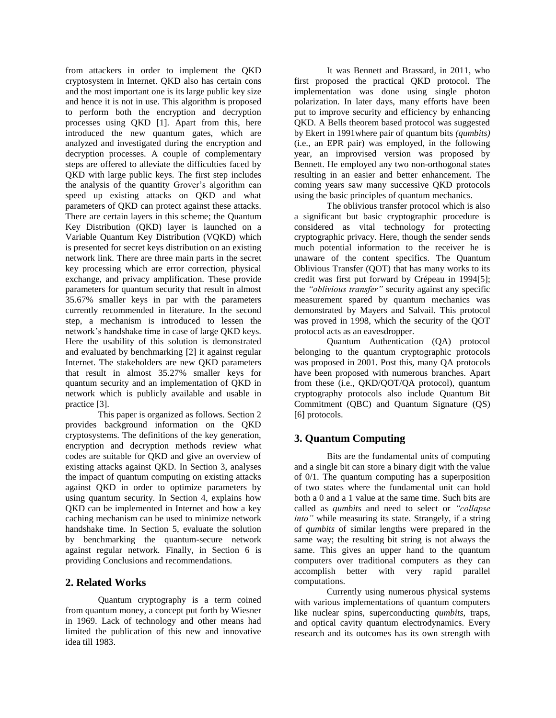from attackers in order to implement the QKD cryptosystem in Internet. QKD also has certain cons and the most important one is its large public key size and hence it is not in use. This algorithm is proposed to perform both the encryption and decryption processes using QKD [1]. Apart from this, here introduced the new quantum gates, which are analyzed and investigated during the encryption and decryption processes. A couple of complementary steps are offered to alleviate the difficulties faced by QKD with large public keys. The first step includes the analysis of the quantity Grover"s algorithm can speed up existing attacks on QKD and what parameters of QKD can protect against these attacks. There are certain layers in this scheme; the Quantum Key Distribution (QKD) layer is launched on a Variable Quantum Key Distribution (VQKD) which is presented for secret keys distribution on an existing network link. There are three main parts in the secret key processing which are error correction, physical exchange, and privacy amplification. These provide parameters for quantum security that result in almost 35.67% smaller keys in par with the parameters currently recommended in literature. In the second step, a mechanism is introduced to lessen the network"s handshake time in case of large QKD keys. Here the usability of this solution is demonstrated and evaluated by benchmarking [2] it against regular Internet. The stakeholders are new QKD parameters that result in almost 35.27% smaller keys for quantum security and an implementation of QKD in network which is publicly available and usable in practice [3].

This paper is organized as follows. Section 2 provides background information on the QKD cryptosystems. The definitions of the key generation, encryption and decryption methods review what codes are suitable for QKD and give an overview of existing attacks against QKD. In Section 3, analyses the impact of quantum computing on existing attacks against QKD in order to optimize parameters by using quantum security. In Section 4, explains how QKD can be implemented in Internet and how a key caching mechanism can be used to minimize network handshake time. In Section 5, evaluate the solution by benchmarking the quantum-secure network against regular network. Finally, in Section 6 is providing Conclusions and recommendations.

## **2. Related Works**

Quantum cryptography is a term coined from quantum money, a concept put forth by Wiesner in 1969. Lack of technology and other means had limited the publication of this new and innovative idea till 1983.

It was Bennett and Brassard, in 2011, who first proposed the practical QKD protocol. The implementation was done using single photon polarization. In later days, many efforts have been put to improve security and efficiency by enhancing QKD. A Bells theorem based protocol was suggested by Ekert in 1991where pair of quantum bits *(qumbits)* (i.e., an EPR pair) was employed, in the following year, an improvised version was proposed by Bennett. He employed any two non-orthogonal states resulting in an easier and better enhancement. The coming years saw many successive QKD protocols using the basic principles of quantum mechanics.

The oblivious transfer protocol which is also a significant but basic cryptographic procedure is considered as vital technology for protecting cryptographic privacy. Here, though the sender sends much potential information to the receiver he is unaware of the content specifics. The Quantum Oblivious Transfer (QOT) that has many works to its credit was first put forward by Crépeau in 1994[5]; the *"oblivious transfer"* security against any specific measurement spared by quantum mechanics was demonstrated by Mayers and Salvail. This protocol was proved in 1998, which the security of the QOT protocol acts as an eavesdropper.

Quantum Authentication (QA) protocol belonging to the quantum cryptographic protocols was proposed in 2001. Post this, many QA protocols have been proposed with numerous branches. Apart from these (i.e., QKD/QOT/QA protocol), quantum cryptography protocols also include Quantum Bit Commitment (QBC) and Quantum Signature (QS) [6] protocols.

## **3. Quantum Computing**

Bits are the fundamental units of computing and a single bit can store a binary digit with the value of 0/1. The quantum computing has a superposition of two states where the fundamental unit can hold both a 0 and a 1 value at the same time. Such bits are called as *qumbits* and need to select or *"collapse into"* while measuring its state. Strangely, if a string of *qumbits* of similar lengths were prepared in the same way; the resulting bit string is not always the same. This gives an upper hand to the quantum computers over traditional computers as they can accomplish better with very rapid parallel computations.

Currently using numerous physical systems with various implementations of quantum computers like nuclear spins, superconducting *qumbits*, traps, and optical cavity quantum electrodynamics. Every research and its outcomes has its own strength with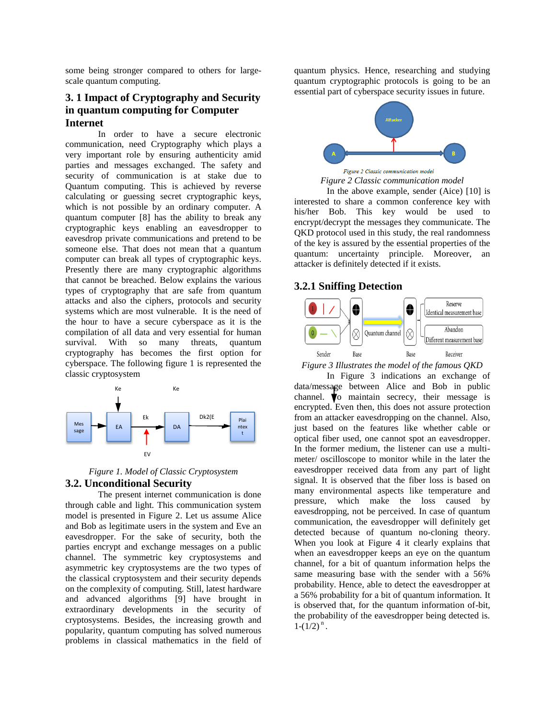some being stronger compared to others for largescale quantum computing.

## **3. 1 Impact of Cryptography and Security in quantum computing for Computer Internet**

In order to have a secure electronic communication, need Cryptography which plays a very important role by ensuring authenticity amid parties and messages exchanged. The safety and security of communication is at stake due to Quantum computing. This is achieved by reverse calculating or guessing secret cryptographic keys, which is not possible by an ordinary computer. A quantum computer [8] has the ability to break any cryptographic keys enabling an eavesdropper to eavesdrop private communications and pretend to be someone else. That does not mean that a quantum computer can break all types of cryptographic keys. Presently there are many cryptographic algorithms that cannot be breached. Below explains the various types of cryptography that are safe from quantum attacks and also the ciphers, protocols and security systems which are most vulnerable. It is the need of the hour to have a secure cyberspace as it is the compilation of all data and very essential for human survival. With so many threats, quantum cryptography has becomes the first option for cyberspace. The following figure 1 is represented the classic cryptosystem



*Figure 1. Model of Classic Cryptosystem*  **3.2. Unconditional Security** 

The present internet communication is done through cable and light. This communication system model is presented in Figure 2. Let us assume Alice and Bob as legitimate users in the system and Eve an eavesdropper. For the sake of security, both the parties encrypt and exchange messages on a public channel. The symmetric key cryptosystems and asymmetric key cryptosystems are the two types of the classical cryptosystem and their security depends on the complexity of computing. Still, latest hardware and advanced algorithms [9] have brought in extraordinary developments in the security of cryptosystems. Besides, the increasing growth and popularity, quantum computing has solved numerous problems in classical mathematics in the field of

quantum physics. Hence, researching and studying quantum cryptographic protocols is going to be an essential part of cyberspace security issues in future.



*Figure 2 Classic communication model* 

In the above example, sender (Aice) [10] is interested to share a common conference key with his/her Bob. This key would be used to encrypt/decrypt the messages they communicate. The QKD protocol used in this study, the real randomness of the key is assured by the essential properties of the quantum: uncertainty principle. Moreover, an attacker is definitely detected if it exists.

## **3.2.1 Sniffing Detection**



*Figure 3 Illustrates the model of the famous QKD* 

In Figure 3 indications an exchange of data/message between Alice and Bob in public channel.  $\bigtriangledown$  maintain secrecy, their message is encrypted. Even then, this does not assure protection from an attacker eavesdropping on the channel. Also, just based on the features like whether cable or optical fiber used, one cannot spot an eavesdropper. In the former medium, the listener can use a multimeter/ oscilloscope to monitor while in the later the eavesdropper received data from any part of light signal. It is observed that the fiber loss is based on many environmental aspects like temperature and pressure, which make the loss caused by eavesdropping, not be perceived. In case of quantum communication, the eavesdropper will definitely get detected because of quantum no-cloning theory. When you look at Figure 4 it clearly explains that when an eavesdropper keeps an eye on the quantum channel, for a bit of quantum information helps the same measuring base with the sender with a 56% probability. Hence, able to detect the eavesdropper at a 56% probability for a bit of quantum information. It is observed that, for the quantum information of-bit, the probability of the eavesdropper being detected is.  $1-(1/2)^n$ .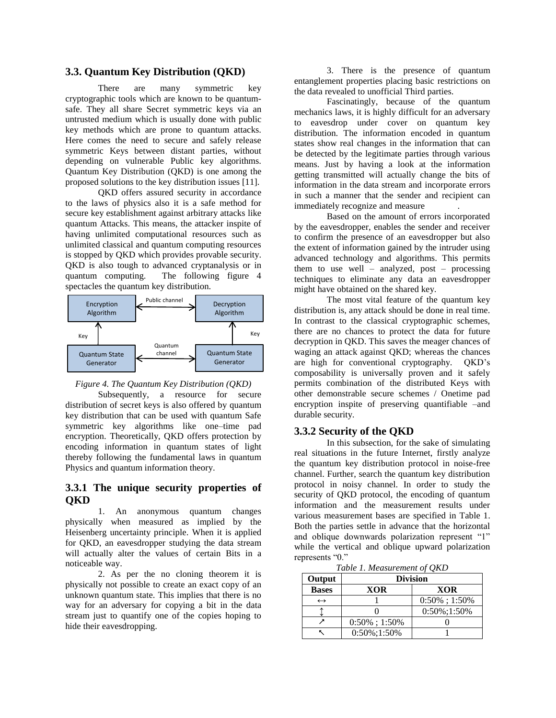#### **3.3. Quantum Key Distribution (QKD)**

There are many symmetric key cryptographic tools which are known to be quantumsafe. They all share Secret symmetric keys via an untrusted medium which is usually done with public key methods which are prone to quantum attacks. Here comes the need to secure and safely release symmetric Keys between distant parties, without depending on vulnerable Public key algorithms. Quantum Key Distribution (QKD) is one among the proposed solutions to the key distribution issues [11].

QKD offers assured security in accordance to the laws of physics also it is a safe method for secure key establishment against arbitrary attacks like quantum Attacks. This means, the attacker inspite of having unlimited computational resources such as unlimited classical and quantum computing resources is stopped by QKD which provides provable security. QKD is also tough to advanced cryptanalysis or in quantum computing. The following figure 4 spectacles the quantum key distribution.





Subsequently, a resource for secure distribution of secret keys is also offered by quantum key distribution that can be used with quantum Safe symmetric key algorithms like one–time pad encryption. Theoretically, QKD offers protection by encoding information in quantum states of light thereby following the fundamental laws in quantum Physics and quantum information theory.

## **3.3.1 The unique security properties of QKD**

1. An anonymous quantum changes physically when measured as implied by the Heisenberg uncertainty principle. When it is applied for QKD, an eavesdropper studying the data stream will actually alter the values of certain Bits in a noticeable way.

2. As per the no cloning theorem it is physically not possible to create an exact copy of an unknown quantum state. This implies that there is no way for an adversary for copying a bit in the data stream just to quantify one of the copies hoping to hide their eavesdropping.

3. There is the presence of quantum entanglement properties placing basic restrictions on the data revealed to unofficial Third parties.

Fascinatingly, because of the quantum mechanics laws, it is highly difficult for an adversary to eavesdrop under cover on quantum key distribution. The information encoded in quantum states show real changes in the information that can be detected by the legitimate parties through various means. Just by having a look at the information getting transmitted will actually change the bits of information in the data stream and incorporate errors in such a manner that the sender and recipient can immediately recognize and measure .

Based on the amount of errors incorporated by the eavesdropper, enables the sender and receiver to confirm the presence of an eavesdropper but also the extent of information gained by the intruder using advanced technology and algorithms. This permits them to use well – analyzed, post – processing techniques to eliminate any data an eavesdropper might have obtained on the shared key.

The most vital feature of the quantum key distribution is, any attack should be done in real time. In contrast to the classical cryptographic schemes, there are no chances to protect the data for future decryption in QKD. This saves the meager chances of waging an attack against QKD; whereas the chances are high for conventional cryptography. QKD"s composability is universally proven and it safely permits combination of the distributed Keys with other demonstrable secure schemes / Onetime pad encryption inspite of preserving quantifiable –and durable security.

#### **3.3.2 Security of the QKD**

In this subsection, for the sake of simulating real situations in the future Internet, firstly analyze the quantum key distribution protocol in noise-free channel. Further, search the quantum key distribution protocol in noisy channel. In order to study the security of QKD protocol, the encoding of quantum information and the measurement results under various measurement bases are specified in Table 1. Both the parties settle in advance that the horizontal and oblique downwards polarization represent "1" while the vertical and oblique upward polarization represents "0."

*Table 1. Measurement of QKD* 

| Output            | <b>Division</b>  |                  |  |  |  |  |  |  |  |  |
|-------------------|------------------|------------------|--|--|--|--|--|--|--|--|
| <b>Bases</b>      | XOR              | <b>XOR</b>       |  |  |  |  |  |  |  |  |
| $\leftrightarrow$ |                  | $0:50\%$ ; 1:50% |  |  |  |  |  |  |  |  |
|                   |                  | $0:50\%$ ; 1:50% |  |  |  |  |  |  |  |  |
|                   | $0:50\%$ ; 1:50% |                  |  |  |  |  |  |  |  |  |
|                   | $0:50\%$ ; 1:50% |                  |  |  |  |  |  |  |  |  |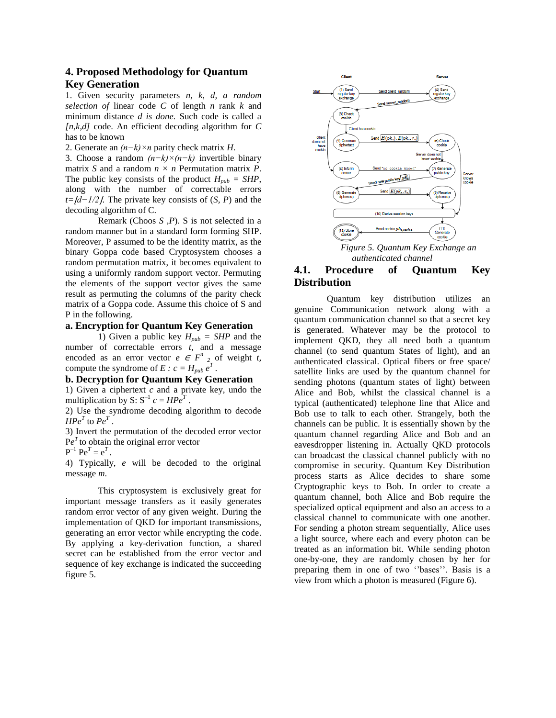## **4. Proposed Methodology for Quantum Key Generation**

1. Given security parameters *n, k, d, a random selection of* linear code *C* of length *n* rank *k* and minimum distance *d is done.* Such code is called a *[n,k,d]* code. An efficient decoding algorithm for *C* has to be known

2. Generate an *(n−k)×n* parity check matrix *H*.

3. Choose a random *(n−k)×(n−k)* invertible binary matrix *S* and a random *n × n* Permutation matrix *P*. The public key consists of the product  $H_{pub} = SHP$ , along with the number of correctable errors *t*= $\frac{Id-1}{2}$ *l*. The private key consists of (*S, P*) and the decoding algorithm of C.

Remark (Choos *S ,P*). S is not selected in a random manner but in a standard form forming SHP. Moreover, P assumed to be the identity matrix, as the binary Goppa code based Cryptosystem chooses a random permutation matrix, it becomes equivalent to using a uniformly random support vector. Permuting the elements of the support vector gives the same result as permuting the columns of the parity check matrix of a Goppa code. Assume this choice of S and P in the following.

#### **a. Encryption for Quantum Key Generation**

1) Given a public key  $H_{pub} = SHP$  and the number of correctable errors *t*, and a message encoded as an error vector  $e \in F^n$  2 of weight *t*, compute the syndrome of  $E : c = H_{pub} e^{T}$ .

#### **b. Decryption for Quantum Key Generation**

1) Given a ciphertext *c* and a private key, undo the multiplication by S:  $S^{-1} c = H P e^{T}$ .

2) Use the syndrome decoding algorithm to decode *HPe<sup>T</sup>* to  $Pe<sup>T</sup>$ .

3) Invert the permutation of the decoded error vector  $Pe<sup>T</sup>$  to obtain the original error vector

 $P^{-1} Pe^{T} = e^{T}$ .

4) Typically, *e* will be decoded to the original message *m*.

This cryptosystem is exclusively great for important message transfers as it easily generates random error vector of any given weight. During the implementation of QKD for important transmissions, generating an error vector while encrypting the code. By applying a key-derivation function, a shared secret can be established from the error vector and sequence of key exchange is indicated the succeeding figure 5.



*authenticated channel* 

## **4.1. Procedure of Quantum Key Distribution**

 Quantum key distribution utilizes an genuine Communication network along with a quantum communication channel so that a secret key is generated. Whatever may be the protocol to implement QKD, they all need both a quantum channel (to send quantum States of light), and an authenticated classical. Optical fibers or free space/ satellite links are used by the quantum channel for sending photons (quantum states of light) between Alice and Bob, whilst the classical channel is a typical (authenticated) telephone line that Alice and Bob use to talk to each other. Strangely, both the channels can be public. It is essentially shown by the quantum channel regarding Alice and Bob and an eavesdropper listening in. Actually QKD protocols can broadcast the classical channel publicly with no compromise in security. Quantum Key Distribution process starts as Alice decides to share some Cryptographic keys to Bob. In order to create a quantum channel, both Alice and Bob require the specialized optical equipment and also an access to a classical channel to communicate with one another. For sending a photon stream sequentially, Alice uses a light source, where each and every photon can be treated as an information bit. While sending photon one-by-one, they are randomly chosen by her for preparing them in one of two "'bases'". Basis is a view from which a photon is measured (Figure 6).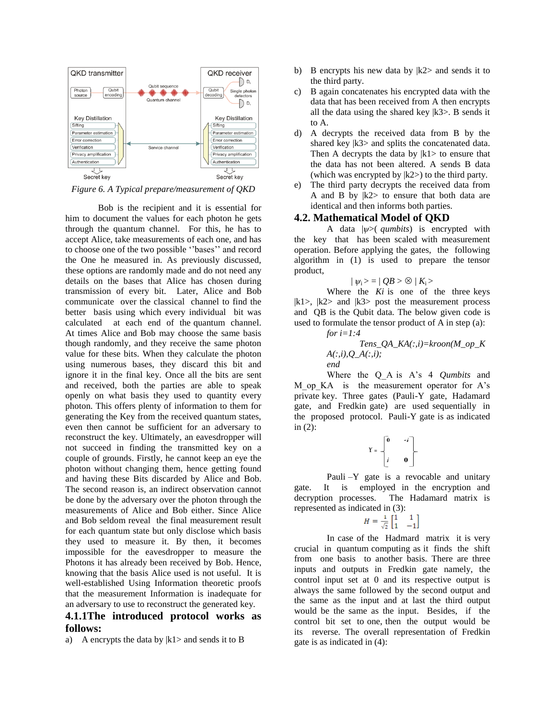

*Figure 6. A Typical prepare/measurement of QKD* 

Bob is the recipient and it is essential for him to document the values for each photon he gets through the quantum channel. For this, he has to accept Alice, take measurements of each one, and has to choose one of the two possible "'bases'" and record the One he measured in. As previously discussed, these options are randomly made and do not need any details on the bases that Alice has chosen during transmission of every bit. Later, Alice and Bob communicate over the classical channel to find the better basis using which every individual bit was calculated at each end of the quantum channel. At times Alice and Bob may choose the same basis though randomly, and they receive the same photon value for these bits. When they calculate the photon using numerous bases, they discard this bit and ignore it in the final key. Once all the bits are sent and received, both the parties are able to speak openly on what basis they used to quantity every photon. This offers plenty of information to them for generating the Key from the received quantum states, even then cannot be sufficient for an adversary to reconstruct the key. Ultimately, an eavesdropper will not succeed in finding the transmitted key on a couple of grounds. Firstly, he cannot keep an eye the photon without changing them, hence getting found and having these Bits discarded by Alice and Bob. The second reason is, an indirect observation cannot be done by the adversary over the photon through the measurements of Alice and Bob either. Since Alice and Bob seldom reveal the final measurement result for each quantum state but only disclose which basis they used to measure it. By then, it becomes impossible for the eavesdropper to measure the Photons it has already been received by Bob. Hence, knowing that the basis Alice used is not useful. It is well-established Using Information theoretic proofs that the measurement Information is inadequate for an adversary to use to reconstruct the generated key.

#### **4.1.1The introduced protocol works as follows:**

a) A encrypts the data by  $|k|$  and sends it to B

- b) B encrypts his new data by  $|k2\rangle$  and sends it to the third party.
- c) B again concatenates his encrypted data with the data that has been received from A then encrypts all the data using the shared key  $|k3\rangle$ . B sends it to A.
- d) A decrypts the received data from B by the shared key  $|k3\rangle$  and splits the concatenated data. Then A decrypts the data by  $|k|$  to ensure that the data has not been altered. A sends B data (which was encrypted by  $|k2\rangle$ ) to the third party.
- e) The third party decrypts the received data from A and B by  $|k2\rangle$  to ensure that both data are identical and then informs both parties.

#### **4.2. Mathematical Model of QKD**

A data |*ѱ*>( *qumbits*) is encrypted with the key that has been scaled with measurement operation. Before applying the gates, the following algorithm in (1) is used to prepare the tensor product,

$$
| \psi_i \rangle = | \ QB \rangle \otimes | K_i \rangle
$$

Where the *Ki* is one of the three keys  $|k1\rangle$ ,  $|k2\rangle$  and  $|k3\rangle$  post the measurement process and QB is the Qubit data. The below given code is used to formulate the tensor product of A in step (a):

*for i=1:4*

*Tens\_QA\_KA(:,i)=kroon(M\_op\_K A(:,i),Q\_A(:,i); end*

Where the Q\_A is A"s 4 *Qumbits* and M op KA is the measurement operator for A"s private key. Three gates (Pauli-Y gate, Hadamard gate, and Fredkin gate) are used sequentially in the proposed protocol. Pauli-Y gate is as indicated in  $(2)$ :

$$
Y = \begin{bmatrix} 0 & -i \\ i & 0 \end{bmatrix}
$$

Pauli –Y gate is a revocable and unitary gate. It is employed in the encryption and decryption processes. The Hadamard matrix is represented as indicated in (3):

$$
H = \frac{1}{\sqrt{2}} \begin{bmatrix} 1 & 1 \\ 1 & -1 \end{bmatrix}
$$

In case of the Hadmard matrix it is very crucial in quantum computing as it finds the shift from one basis to another basis. There are three inputs and outputs in Fredkin gate namely, the control input set at 0 and its respective output is always the same followed by the second output and the same as the input and at last the third output would be the same as the input. Besides, if the control bit set to one, then the output would be its reverse. The overall representation of Fredkin gate is as indicated in (4):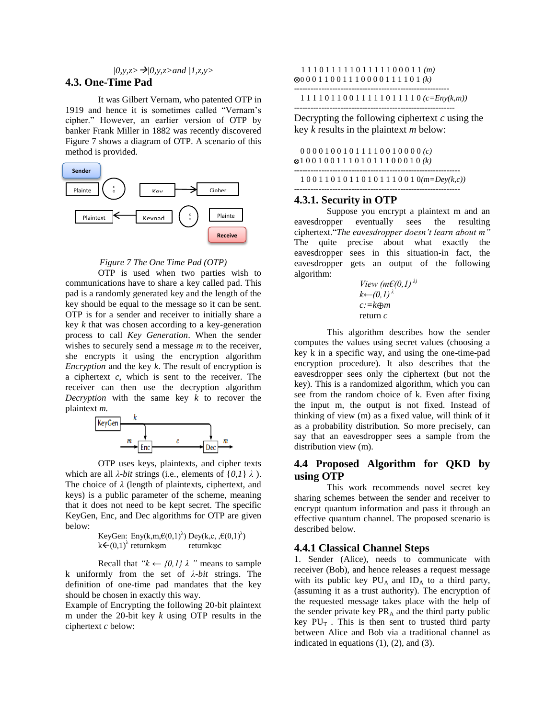## *|0,y,z>|0,y,z>and |1,z,y>*

## **4.3. One-Time Pad**

It was Gilbert Vernam, who patented OTP in 1919 and hence it is sometimes called "Vernam"s cipher." However, an earlier version of OTP by banker Frank Miller in 1882 was recently discovered Figure 7 shows a diagram of OTP. A scenario of this method is provided.



#### *Figure 7 The One Time Pad (OTP)*

OTP is used when two parties wish to communications have to share a key called pad. This pad is a randomly generated key and the length of the key should be equal to the message so it can be sent. OTP is for a sender and receiver to initially share a key *k* that was chosen according to a key-generation process to call *Key Generation*. When the sender wishes to securely send a message *m* to the receiver, she encrypts it using the encryption algorithm *Encryption* and the key *k*. The result of encryption is a ciphertext *c*, which is sent to the receiver. The receiver can then use the decryption algorithm *Decryption* with the same key *k* to recover the



OTP uses keys, plaintexts, and cipher texts which are all  $\lambda$ -*bit* strings (i.e., elements of  $\{0,1\}$   $\lambda$ ). The choice of *λ* (length of plaintexts, ciphertext, and keys) is a public parameter of the scheme, meaning that it does not need to be kept secret. The specific KeyGen, Enc, and Dec algorithms for OTP are given below:

KeyGen: Eny(k,m, $\epsilon(0,1)$ <sup> $\lambda$ </sup>) Dey(k,c, , $\epsilon(0,1)$  $\lambda$ )  $k \in (0,1)$ <sup>λ</sup> returnk  $\otimes$  returnk  $\otimes$  c

Recall that  $"k \leftarrow \{0,1\} \lambda"$  means to sample k uniformly from the set of *λ-bit* strings. The definition of one-time pad mandates that the key should be chosen in exactly this way.

Example of Encrypting the following 20-bit plaintext m under the 20-bit key *k* using OTP results in the ciphertext *c* below:

#### 1 1 1 0 1 1 1 1 1 0 1 1 1 1 1 0 0 0 1 1 *(m)* 0 0 0 1 1 0 0 1 1 1 0 0 0 0 1 1 1 1 0 1 *(k)* ---------------------------------------------------------

1 1 1 1 0 1 1 0 0 1 1 1 1 1 0 1 1 1 1 0 *(c=Eny(k,m))*

-----------------------------------------------------------

Decrypting the following ciphertext *c* using the key *k* results in the plaintext *m* below:

|  |  |  |  |  |  |  |  |  |  | 0000100101111001000(c)                    |  |
|--|--|--|--|--|--|--|--|--|--|-------------------------------------------|--|
|  |  |  |  |  |  |  |  |  |  | $\otimes$ 10010011101011100010 <i>(k)</i> |  |
|  |  |  |  |  |  |  |  |  |  |                                           |  |

 1 0 0 1 1 0 1 0 1 1 0 1 0 1 1 1 0 0 1 0*(m=Dey(k,c))* **-------------------------------------------------------------**

#### **4.3.1. Security in OTP**

Suppose you encrypt a plaintext m and an eavesdropper eventually sees the resulting ciphertext."*The eavesdropper doesn't learn about m"* The quite precise about what exactly the eavesdropper sees in this situation-in fact, the eavesdropper gets an output of the following algorithm:

*View (m€(0,1) λ) k←(0,1)<sup>λ</sup> c:=k m*  return *c*

This algorithm describes how the sender computes the values using secret values (choosing a key k in a specific way, and using the one-time-pad encryption procedure). It also describes that the eavesdropper sees only the ciphertext (but not the key). This is a randomized algorithm, which you can see from the random choice of k. Even after fixing the input m, the output is not fixed. Instead of thinking of view (m) as a fixed value, will think of it as a probability distribution. So more precisely, can say that an eavesdropper sees a sample from the distribution view (m).

## **4.4 Proposed Algorithm for QKD by using OTP**

This work recommends novel secret key sharing schemes between the sender and receiver to encrypt quantum information and pass it through an effective quantum channel. The proposed scenario is described below.

#### **4.4.1 Classical Channel Steps**

1. Sender (Alice), needs to communicate with receiver (Bob), and hence releases a request message with its public key  $PU_A$  and  $ID_A$  to a third party, (assuming it as a trust authority). The encryption of the requested message takes place with the help of the sender private key  $PR_A$  and the third party public key  $PU_T$ . This is then sent to trusted third party between Alice and Bob via a traditional channel as indicated in equations  $(1)$ ,  $(2)$ , and  $(3)$ .